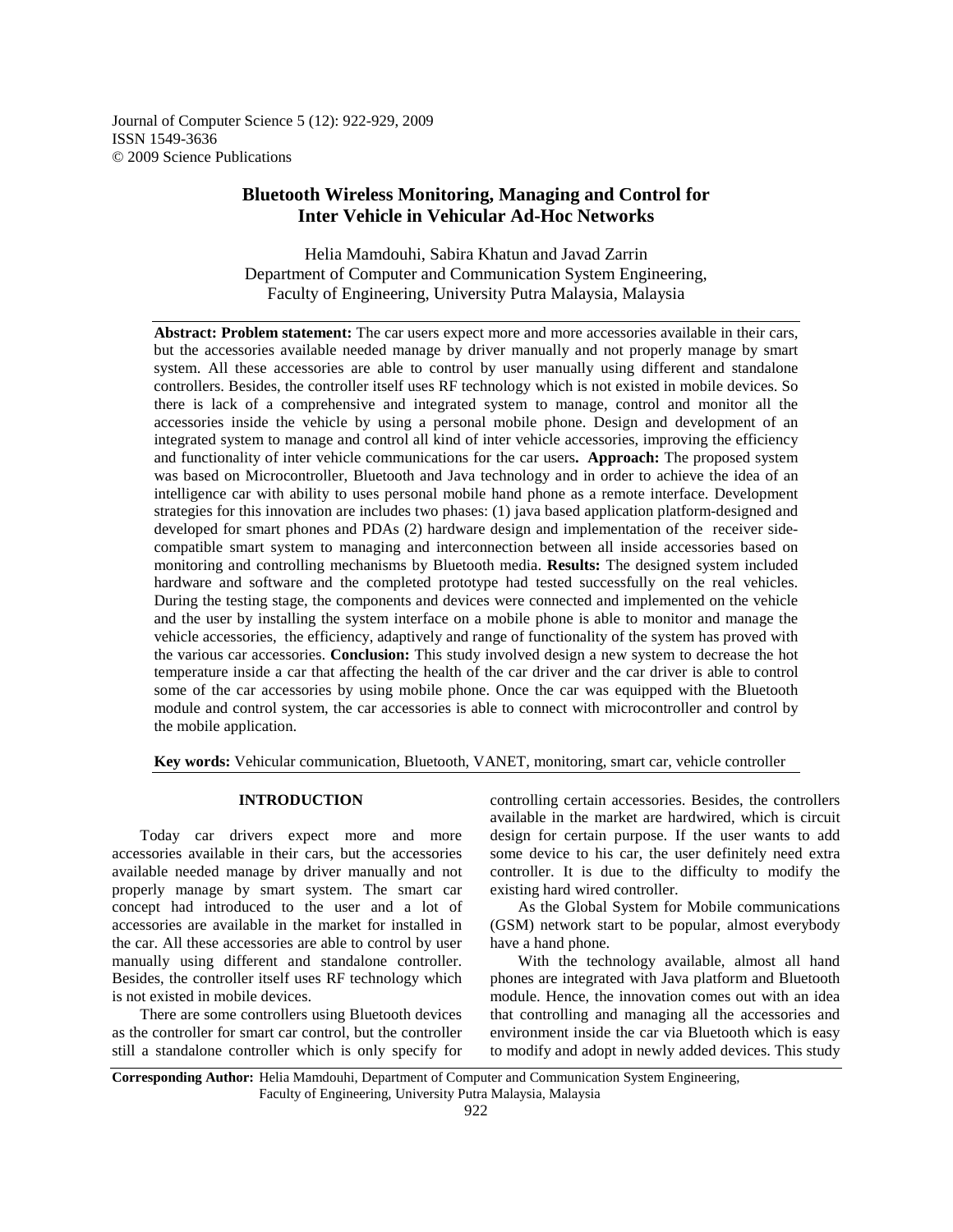Journal of Computer Science 5 (12): 922-929, 2009 ISSN 1549-3636 © 2009 Science Publications

# **Bluetooth Wireless Monitoring, Managing and Control for Inter Vehicle in Vehicular Ad-Hoc Networks**

Helia Mamdouhi, Sabira Khatun and Javad Zarrin Department of Computer and Communication System Engineering, Faculty of Engineering, University Putra Malaysia, Malaysia

**Abstract: Problem statement:** The car users expect more and more accessories available in their cars, but the accessories available needed manage by driver manually and not properly manage by smart system. All these accessories are able to control by user manually using different and standalone controllers. Besides, the controller itself uses RF technology which is not existed in mobile devices. So there is lack of a comprehensive and integrated system to manage, control and monitor all the accessories inside the vehicle by using a personal mobile phone. Design and development of an integrated system to manage and control all kind of inter vehicle accessories, improving the efficiency and functionality of inter vehicle communications for the car users**. Approach:** The proposed system was based on Microcontroller, Bluetooth and Java technology and in order to achieve the idea of an intelligence car with ability to uses personal mobile hand phone as a remote interface. Development strategies for this innovation are includes two phases: (1) java based application platform-designed and developed for smart phones and PDAs (2) hardware design and implementation of the receiver sidecompatible smart system to managing and interconnection between all inside accessories based on monitoring and controlling mechanisms by Bluetooth media. **Results:** The designed system included hardware and software and the completed prototype had tested successfully on the real vehicles. During the testing stage, the components and devices were connected and implemented on the vehicle and the user by installing the system interface on a mobile phone is able to monitor and manage the vehicle accessories, the efficiency, adaptively and range of functionality of the system has proved with the various car accessories. **Conclusion:** This study involved design a new system to decrease the hot temperature inside a car that affecting the health of the car driver and the car driver is able to control some of the car accessories by using mobile phone. Once the car was equipped with the Bluetooth module and control system, the car accessories is able to connect with microcontroller and control by the mobile application.

**Key words:** Vehicular communication, Bluetooth, VANET, monitoring, smart car, vehicle controller

#### **INTRODUCTION**

 Today car drivers expect more and more accessories available in their cars, but the accessories available needed manage by driver manually and not properly manage by smart system. The smart car concept had introduced to the user and a lot of accessories are available in the market for installed in the car. All these accessories are able to control by user manually using different and standalone controller. Besides, the controller itself uses RF technology which is not existed in mobile devices.

 There are some controllers using Bluetooth devices as the controller for smart car control, but the controller still a standalone controller which is only specify for

controlling certain accessories. Besides, the controllers available in the market are hardwired, which is circuit design for certain purpose. If the user wants to add some device to his car, the user definitely need extra controller. It is due to the difficulty to modify the existing hard wired controller.

 As the Global System for Mobile communications (GSM) network start to be popular, almost everybody have a hand phone.

 With the technology available, almost all hand phones are integrated with Java platform and Bluetooth module. Hence, the innovation comes out with an idea that controlling and managing all the accessories and environment inside the car via Bluetooth which is easy to modify and adopt in newly added devices. This study

**Corresponding Author:** Helia Mamdouhi, Department of Computer and Communication System Engineering, Faculty of Engineering, University Putra Malaysia, Malaysia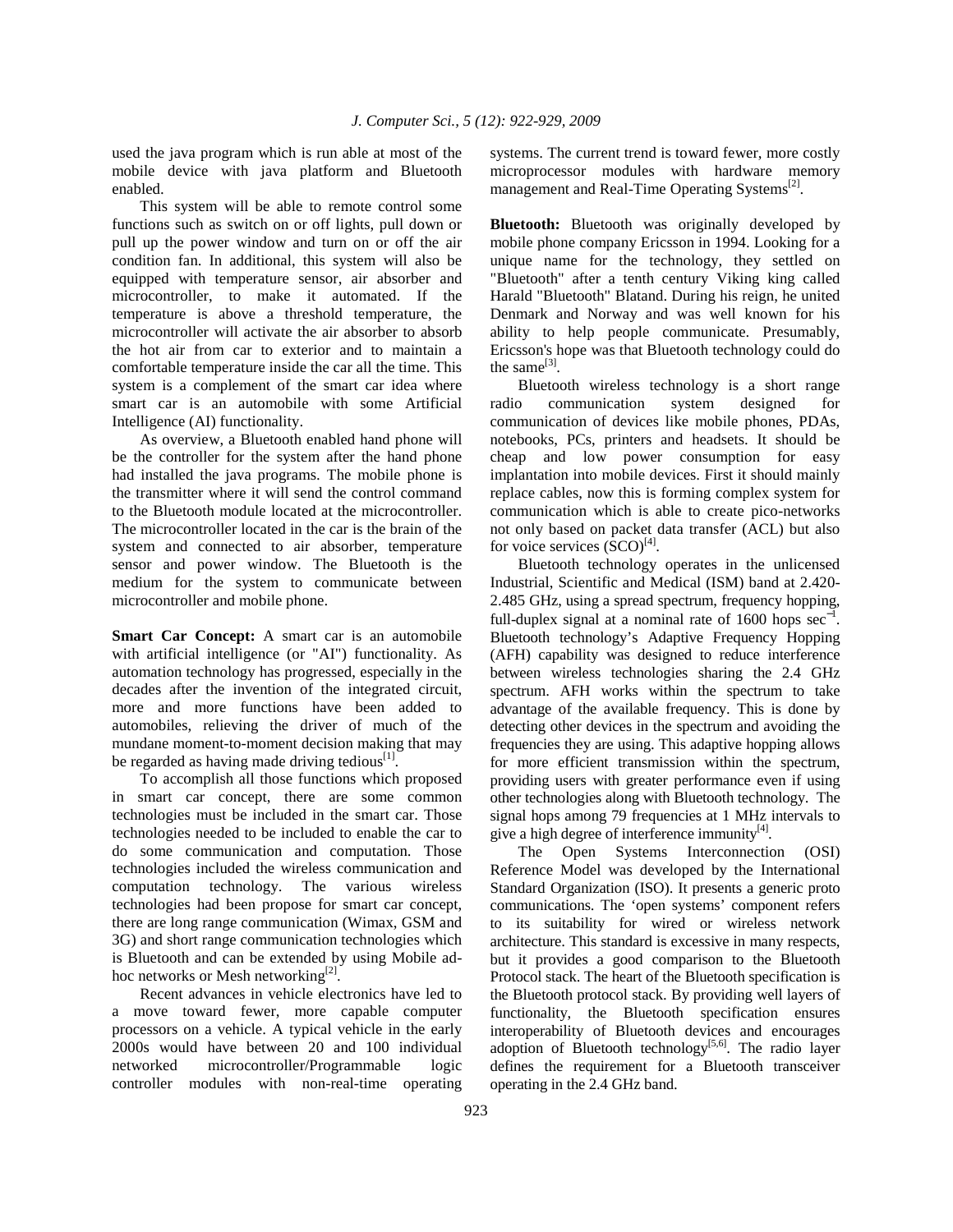used the java program which is run able at most of the mobile device with java platform and Bluetooth enabled.

 This system will be able to remote control some functions such as switch on or off lights, pull down or pull up the power window and turn on or off the air condition fan. In additional, this system will also be equipped with temperature sensor, air absorber and microcontroller, to make it automated. If the temperature is above a threshold temperature, the microcontroller will activate the air absorber to absorb the hot air from car to exterior and to maintain a comfortable temperature inside the car all the time. This system is a complement of the smart car idea where smart car is an automobile with some Artificial Intelligence (AI) functionality.

 As overview, a Bluetooth enabled hand phone will be the controller for the system after the hand phone had installed the java programs. The mobile phone is the transmitter where it will send the control command to the Bluetooth module located at the microcontroller. The microcontroller located in the car is the brain of the system and connected to air absorber, temperature sensor and power window. The Bluetooth is the medium for the system to communicate between microcontroller and mobile phone.

**Smart Car Concept:** A smart car is an automobile with artificial intelligence (or "AI") functionality. As automation technology has progressed, especially in the decades after the invention of the integrated circuit, more and more functions have been added to automobiles, relieving the driver of much of the mundane moment-to-moment decision making that may be regarded as having made driving tedious $^{[1]}$ .

 To accomplish all those functions which proposed in smart car concept, there are some common technologies must be included in the smart car. Those technologies needed to be included to enable the car to do some communication and computation. Those technologies included the wireless communication and computation technology. The various wireless technologies had been propose for smart car concept, there are long range communication (Wimax, GSM and 3G) and short range communication technologies which is Bluetooth and can be extended by using Mobile adhoc networks or Mesh networking<sup>[2]</sup>.

 Recent advances in vehicle electronics have led to a move toward fewer, more capable computer processors on a vehicle. A typical vehicle in the early 2000s would have between 20 and 100 individual networked microcontroller/Programmable logic controller modules with non-real-time operating

systems. The current trend is toward fewer, more costly microprocessor modules with hardware memory management and Real-Time Operating Systems<sup>[2]</sup>.

**Bluetooth:** Bluetooth was originally developed by mobile phone company Ericsson in 1994. Looking for a unique name for the technology, they settled on "Bluetooth" after a tenth century Viking king called Harald "Bluetooth" Blatand. During his reign, he united Denmark and Norway and was well known for his ability to help people communicate. Presumably, Ericsson's hope was that Bluetooth technology could do the same $^{[3]}$ .

 Bluetooth wireless technology is a short range radio communication system designed for communication of devices like mobile phones, PDAs, notebooks, PCs, printers and headsets. It should be cheap and low power consumption for easy implantation into mobile devices. First it should mainly replace cables, now this is forming complex system for communication which is able to create pico-networks not only based on packet data transfer (ACL) but also for voice services  $(SCO)^{[4]}$ .

 Bluetooth technology operates in the unlicensed Industrial, Scientific and Medical (ISM) band at 2.420- 2.485 GHz, using a spread spectrum, frequency hopping, full-duplex signal at a nominal rate of 1600 hops  $sec^{-1}$ . Bluetooth technology's Adaptive Frequency Hopping (AFH) capability was designed to reduce interference between wireless technologies sharing the 2.4 GHz spectrum. AFH works within the spectrum to take advantage of the available frequency. This is done by detecting other devices in the spectrum and avoiding the frequencies they are using. This adaptive hopping allows for more efficient transmission within the spectrum, providing users with greater performance even if using other technologies along with Bluetooth technology. The signal hops among 79 frequencies at 1 MHz intervals to give a high degree of interference immunity<sup>[4]</sup>.

 The Open Systems Interconnection (OSI) Reference Model was developed by the International Standard Organization (ISO). It presents a generic proto communications. The 'open systems' component refers to its suitability for wired or wireless network architecture. This standard is excessive in many respects, but it provides a good comparison to the Bluetooth Protocol stack. The heart of the Bluetooth specification is the Bluetooth protocol stack. By providing well layers of functionality, the Bluetooth specification ensures interoperability of Bluetooth devices and encourages adoption of Bluetooth technology<sup>[5,6]</sup>. The radio layer defines the requirement for a Bluetooth transceiver operating in the 2.4 GHz band.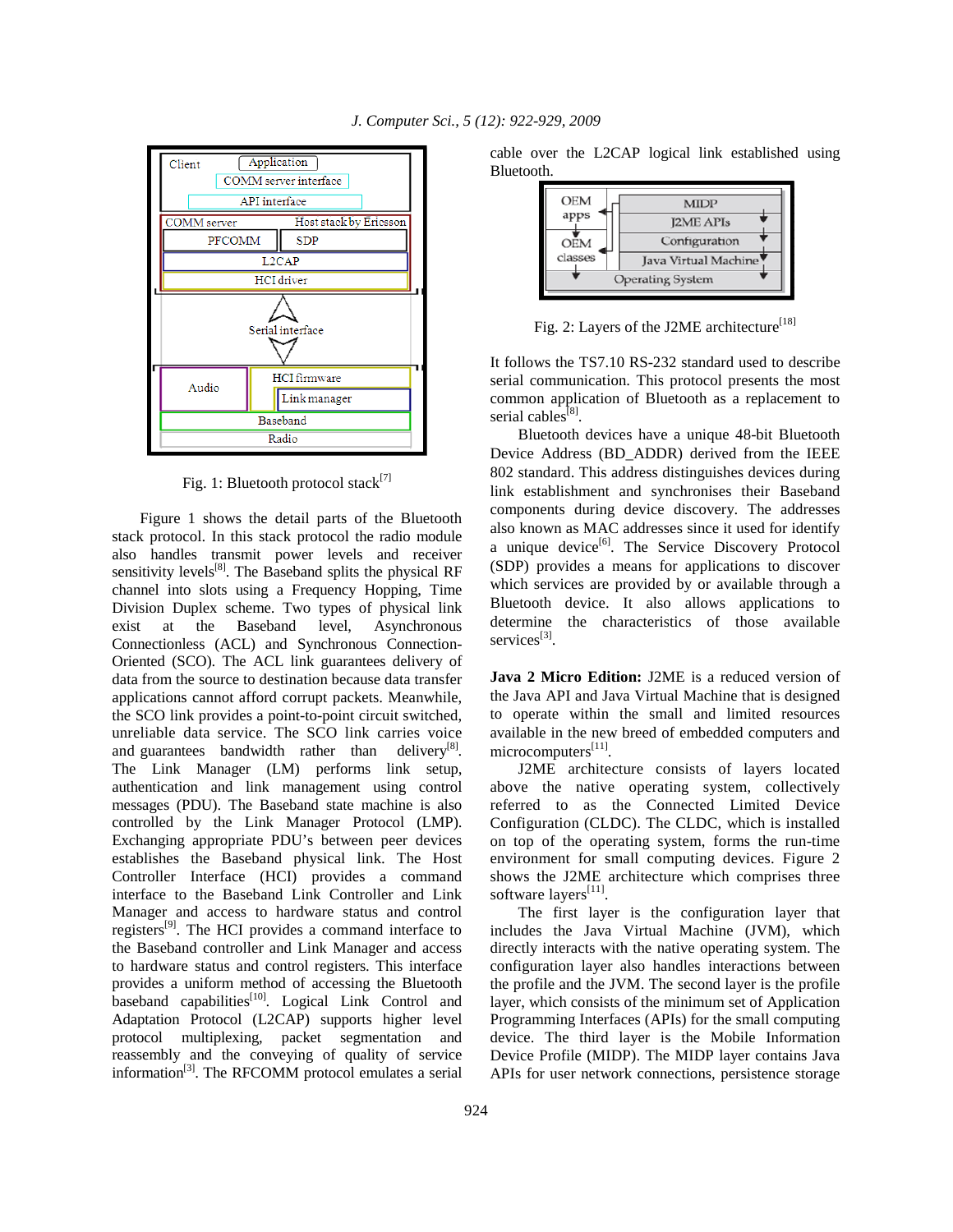

Fig. 1: Bluetooth protocol stack<sup>[7]</sup>

 Figure 1 shows the detail parts of the Bluetooth stack protocol. In this stack protocol the radio module also handles transmit power levels and receiver sensitivity levels $[8]$ . The Baseband splits the physical RF channel into slots using a Frequency Hopping, Time Division Duplex scheme. Two types of physical link exist at the Baseband level, Asynchronous Connectionless (ACL) and Synchronous Connection-Oriented (SCO). The ACL link guarantees delivery of data from the source to destination because data transfer applications cannot afford corrupt packets. Meanwhile, the SCO link provides a point-to-point circuit switched, unreliable data service. The SCO link carries voice and guarantees bandwidth rather than  $deliverv<sup>[8]</sup>$ . The Link Manager (LM) performs link setup, authentication and link management using control messages (PDU). The Baseband state machine is also controlled by the Link Manager Protocol (LMP). Exchanging appropriate PDU's between peer devices establishes the Baseband physical link. The Host Controller Interface (HCI) provides a command interface to the Baseband Link Controller and Link Manager and access to hardware status and control registers[9]. The HCI provides a command interface to the Baseband controller and Link Manager and access to hardware status and control registers. This interface provides a uniform method of accessing the Bluetooth baseband capabilities $^{[10]}$ . Logical Link Control and Adaptation Protocol (L2CAP) supports higher level protocol multiplexing, packet segmentation and reassembly and the conveying of quality of service information<sup>[3]</sup>. The RFCOMM protocol emulates a serial

cable over the L2CAP logical link established using Bluetooth.

| <b>OEM</b> | MIDP                    |
|------------|-------------------------|
| apps       | <b>I2ME APIs</b>        |
| OEM        | Configuration           |
| classes    | Java Virtual Machine    |
|            | <b>Operating System</b> |

Fig. 2: Layers of the J2ME architecture<sup>[18]</sup>

It follows the TS7.10 RS-232 standard used to describe serial communication. This protocol presents the most common application of Bluetooth as a replacement to serial cables<sup>[8]</sup>.

 Bluetooth devices have a unique 48-bit Bluetooth Device Address (BD\_ADDR) derived from the IEEE 802 standard. This address distinguishes devices during link establishment and synchronises their Baseband components during device discovery. The addresses also known as MAC addresses since it used for identify a unique device $^{[6]}$ . The Service Discovery Protocol (SDP) provides a means for applications to discover which services are provided by or available through a Bluetooth device. It also allows applications to determine the characteristics of those available services<sup>[3]</sup>.

**Java 2 Micro Edition:** J2ME is a reduced version of the Java API and Java Virtual Machine that is designed to operate within the small and limited resources available in the new breed of embedded computers and microcomputers<sup>[11]</sup>.

 J2ME architecture consists of layers located above the native operating system, collectively referred to as the Connected Limited Device Configuration (CLDC). The CLDC, which is installed on top of the operating system, forms the run-time environment for small computing devices. Figure 2 shows the J2ME architecture which comprises three software layers<sup>[11]</sup>.

 The first layer is the configuration layer that includes the Java Virtual Machine (JVM), which directly interacts with the native operating system. The configuration layer also handles interactions between the profile and the JVM. The second layer is the profile layer, which consists of the minimum set of Application Programming Interfaces (APIs) for the small computing device. The third layer is the Mobile Information Device Profile (MIDP). The MIDP layer contains Java APIs for user network connections, persistence storage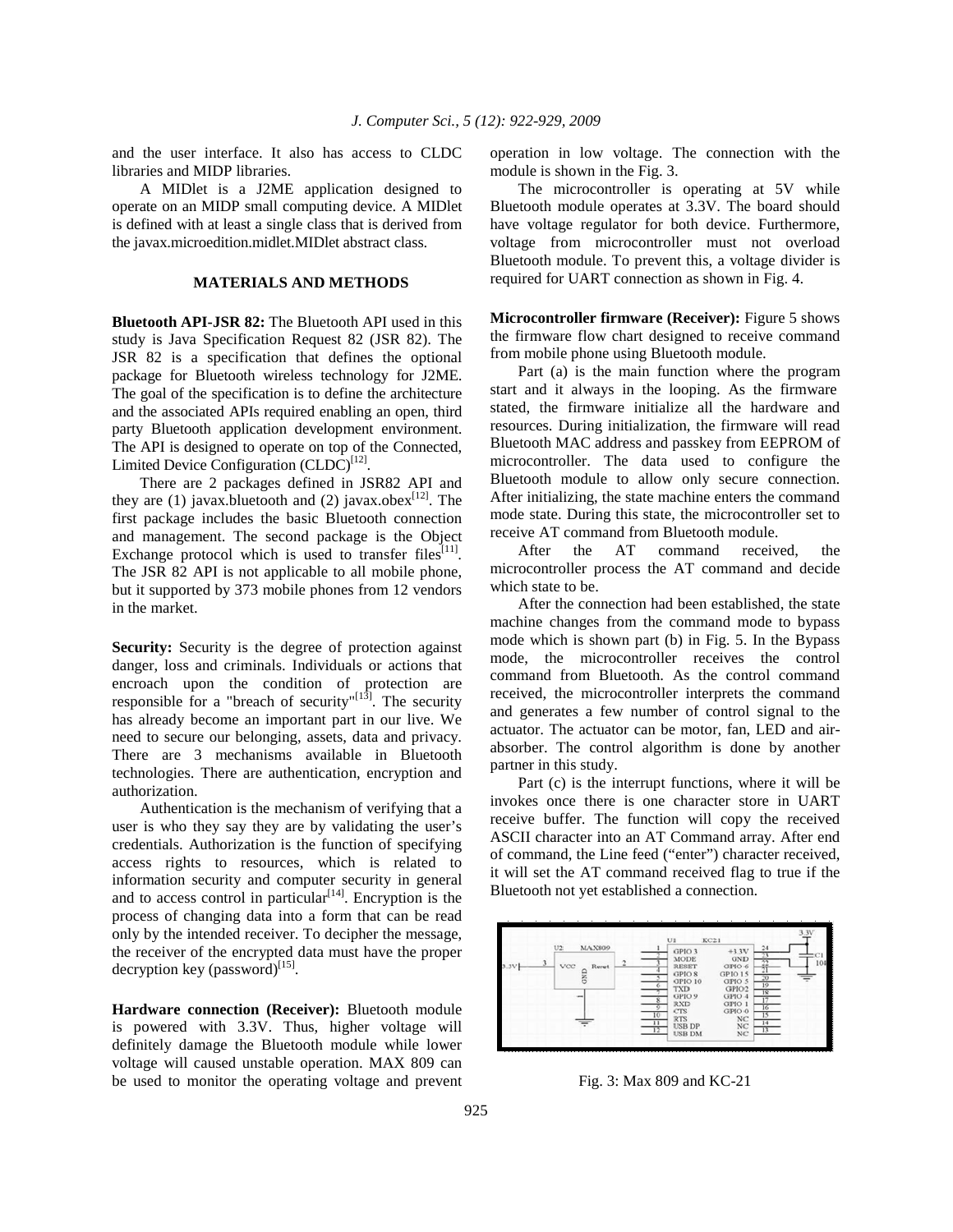and the user interface. It also has access to CLDC libraries and MIDP libraries.

 A MIDlet is a J2ME application designed to operate on an MIDP small computing device. A MIDlet is defined with at least a single class that is derived from the javax.microedition.midlet.MIDlet abstract class.

### **MATERIALS AND METHODS**

**Bluetooth API-JSR 82:** The Bluetooth API used in this study is Java Specification Request 82 (JSR 82). The JSR 82 is a specification that defines the optional package for Bluetooth wireless technology for J2ME. The goal of the specification is to define the architecture and the associated APIs required enabling an open, third party Bluetooth application development environment. The API is designed to operate on top of the Connected, Limited Device Configuration  $(CLDC)^{[12]}$ .

 There are 2 packages defined in JSR82 API and they are (1) javax.bluetooth and (2) javax.obex<sup>[12]</sup>. The first package includes the basic Bluetooth connection and management. The second package is the Object Exchange protocol which is used to transfer files<sup>[11]</sup>. The JSR 82 API is not applicable to all mobile phone, but it supported by 373 mobile phones from 12 vendors in the market.

**Security:** Security is the degree of protection against danger, loss and criminals. Individuals or actions that encroach upon the condition of protection are responsible for a "breach of security"<sup>[13]</sup>. The security has already become an important part in our live. We need to secure our belonging, assets, data and privacy. There are 3 mechanisms available in Bluetooth technologies. There are authentication, encryption and authorization.

 Authentication is the mechanism of verifying that a user is who they say they are by validating the user's credentials. Authorization is the function of specifying access rights to resources, which is related to information security and computer security in general and to access control in particular $[14]$ . Encryption is the process of changing data into a form that can be read only by the intended receiver. To decipher the message, the receiver of the encrypted data must have the proper decryption key (password) $^{[15]}$ .

**Hardware connection (Receiver):** Bluetooth module is powered with 3.3V. Thus, higher voltage will definitely damage the Bluetooth module while lower voltage will caused unstable operation. MAX 809 can be used to monitor the operating voltage and prevent operation in low voltage. The connection with the module is shown in the Fig. 3.

 The microcontroller is operating at 5V while Bluetooth module operates at 3.3V. The board should have voltage regulator for both device. Furthermore, voltage from microcontroller must not overload Bluetooth module. To prevent this, a voltage divider is required for UART connection as shown in Fig. 4.

**Microcontroller firmware (Receiver):** Figure 5 shows the firmware flow chart designed to receive command from mobile phone using Bluetooth module.

 Part (a) is the main function where the program start and it always in the looping. As the firmware stated, the firmware initialize all the hardware and resources. During initialization, the firmware will read Bluetooth MAC address and passkey from EEPROM of microcontroller. The data used to configure the Bluetooth module to allow only secure connection. After initializing, the state machine enters the command mode state. During this state, the microcontroller set to receive AT command from Bluetooth module.

 After the AT command received, the microcontroller process the AT command and decide which state to be.

 After the connection had been established, the state machine changes from the command mode to bypass mode which is shown part (b) in Fig. 5. In the Bypass mode, the microcontroller receives the control command from Bluetooth. As the control command received, the microcontroller interprets the command and generates a few number of control signal to the actuator. The actuator can be motor, fan, LED and airabsorber. The control algorithm is done by another partner in this study.

 Part (c) is the interrupt functions, where it will be invokes once there is one character store in UART receive buffer. The function will copy the received ASCII character into an AT Command array. After end of command, the Line feed ("enter") character received, it will set the AT command received flag to true if the Bluetooth not yet established a connection.



Fig. 3: Max 809 and KC-21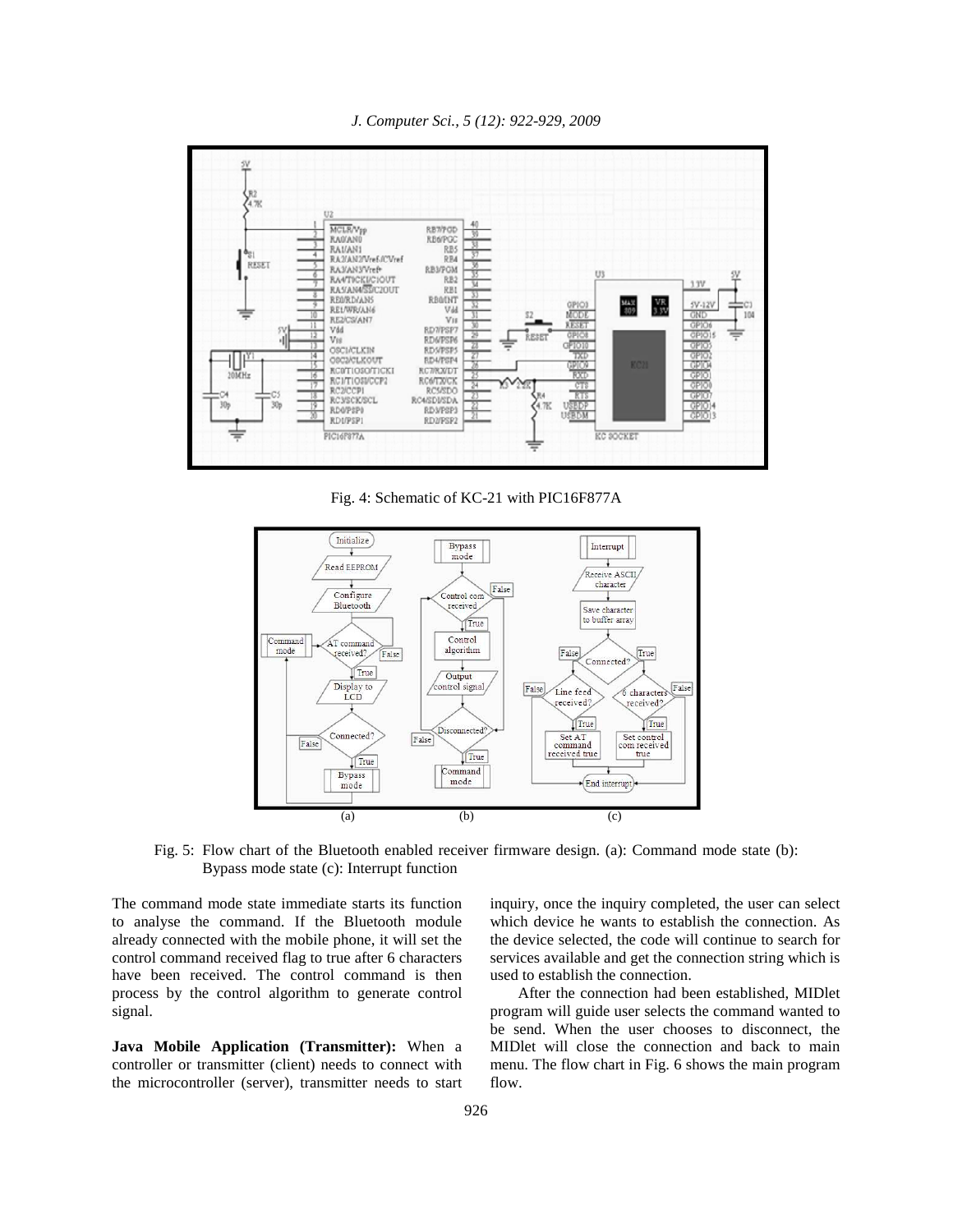*J. Computer Sci., 5 (12): 922-929, 2009* 



Fig. 4: Schematic of KC-21 with PIC16F877A



Fig. 5: Flow chart of the Bluetooth enabled receiver firmware design. (a): Command mode state (b): Bypass mode state (c): Interrupt function

The command mode state immediate starts its function to analyse the command. If the Bluetooth module already connected with the mobile phone, it will set the control command received flag to true after 6 characters have been received. The control command is then process by the control algorithm to generate control signal.

**Java Mobile Application (Transmitter):** When a controller or transmitter (client) needs to connect with the microcontroller (server), transmitter needs to start inquiry, once the inquiry completed, the user can select which device he wants to establish the connection. As the device selected, the code will continue to search for services available and get the connection string which is used to establish the connection.

 After the connection had been established, MIDlet program will guide user selects the command wanted to be send. When the user chooses to disconnect, the MIDlet will close the connection and back to main menu. The flow chart in Fig. 6 shows the main program flow.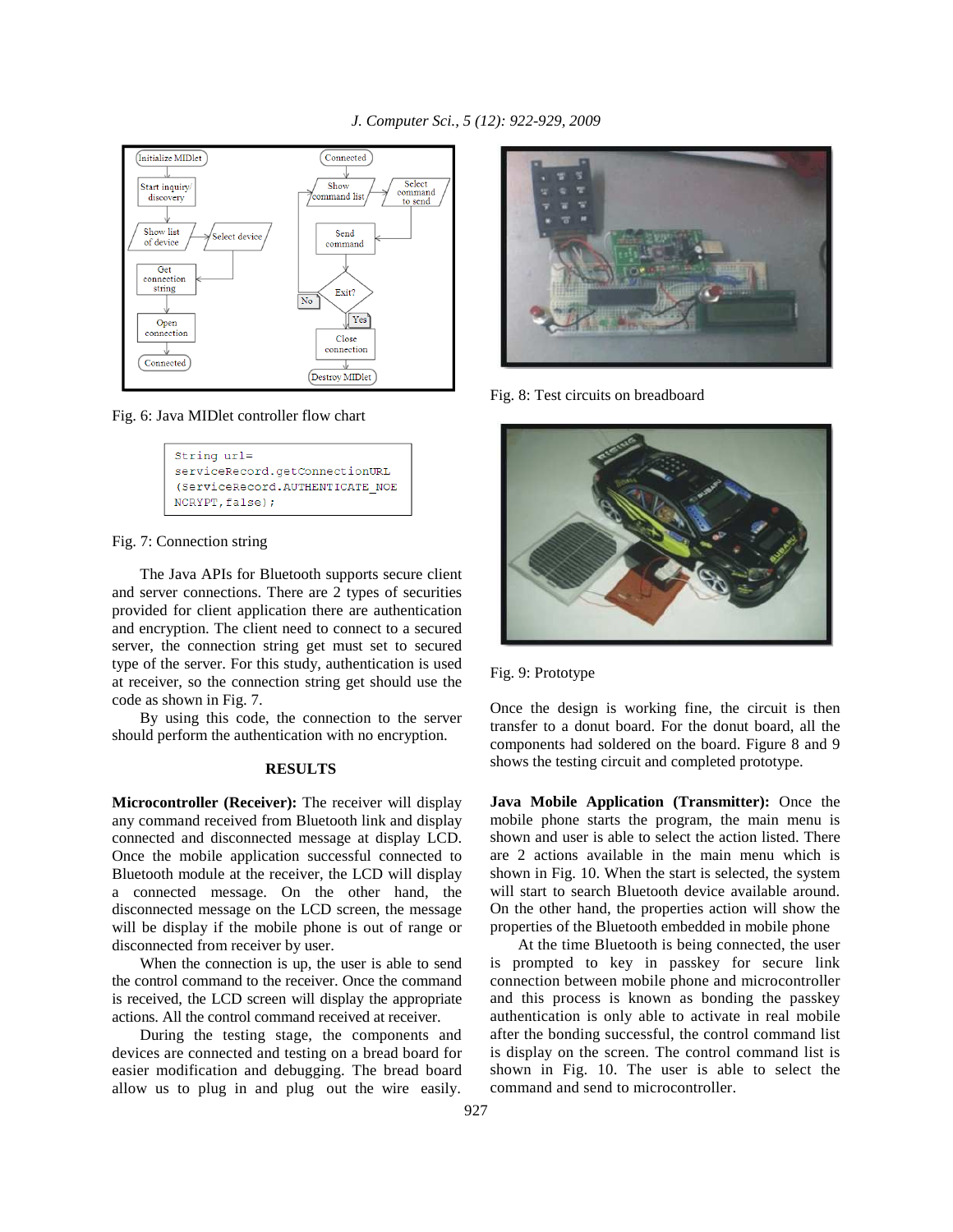

Fig. 6: Java MIDlet controller flow chart

| String url=                     |
|---------------------------------|
| serviceRecord.getConnectionURL  |
| (ServiceRecord.AUTHENTICATE NOE |
| NCRYPT, false);                 |

## Fig. 7: Connection string

 The Java APIs for Bluetooth supports secure client and server connections. There are 2 types of securities provided for client application there are authentication and encryption. The client need to connect to a secured server, the connection string get must set to secured type of the server. For this study, authentication is used at receiver, so the connection string get should use the code as shown in Fig. 7.

 By using this code, the connection to the server should perform the authentication with no encryption.

## **RESULTS**

**Microcontroller (Receiver):** The receiver will display any command received from Bluetooth link and display connected and disconnected message at display LCD. Once the mobile application successful connected to Bluetooth module at the receiver, the LCD will display a connected message. On the other hand, the disconnected message on the LCD screen, the message will be display if the mobile phone is out of range or disconnected from receiver by user.

 When the connection is up, the user is able to send the control command to the receiver. Once the command is received, the LCD screen will display the appropriate actions. All the control command received at receiver.

 During the testing stage, the components and devices are connected and testing on a bread board for easier modification and debugging. The bread board allow us to plug in and plug out the wire easily.



Fig. 8: Test circuits on breadboard



## Fig. 9: Prototype

Once the design is working fine, the circuit is then transfer to a donut board. For the donut board, all the components had soldered on the board. Figure 8 and 9 shows the testing circuit and completed prototype.

**Java Mobile Application (Transmitter):** Once the mobile phone starts the program, the main menu is shown and user is able to select the action listed. There are 2 actions available in the main menu which is shown in Fig. 10. When the start is selected, the system will start to search Bluetooth device available around. On the other hand, the properties action will show the properties of the Bluetooth embedded in mobile phone

 At the time Bluetooth is being connected, the user is prompted to key in passkey for secure link connection between mobile phone and microcontroller and this process is known as bonding the passkey authentication is only able to activate in real mobile after the bonding successful, the control command list is display on the screen. The control command list is shown in Fig. 10. The user is able to select the command and send to microcontroller.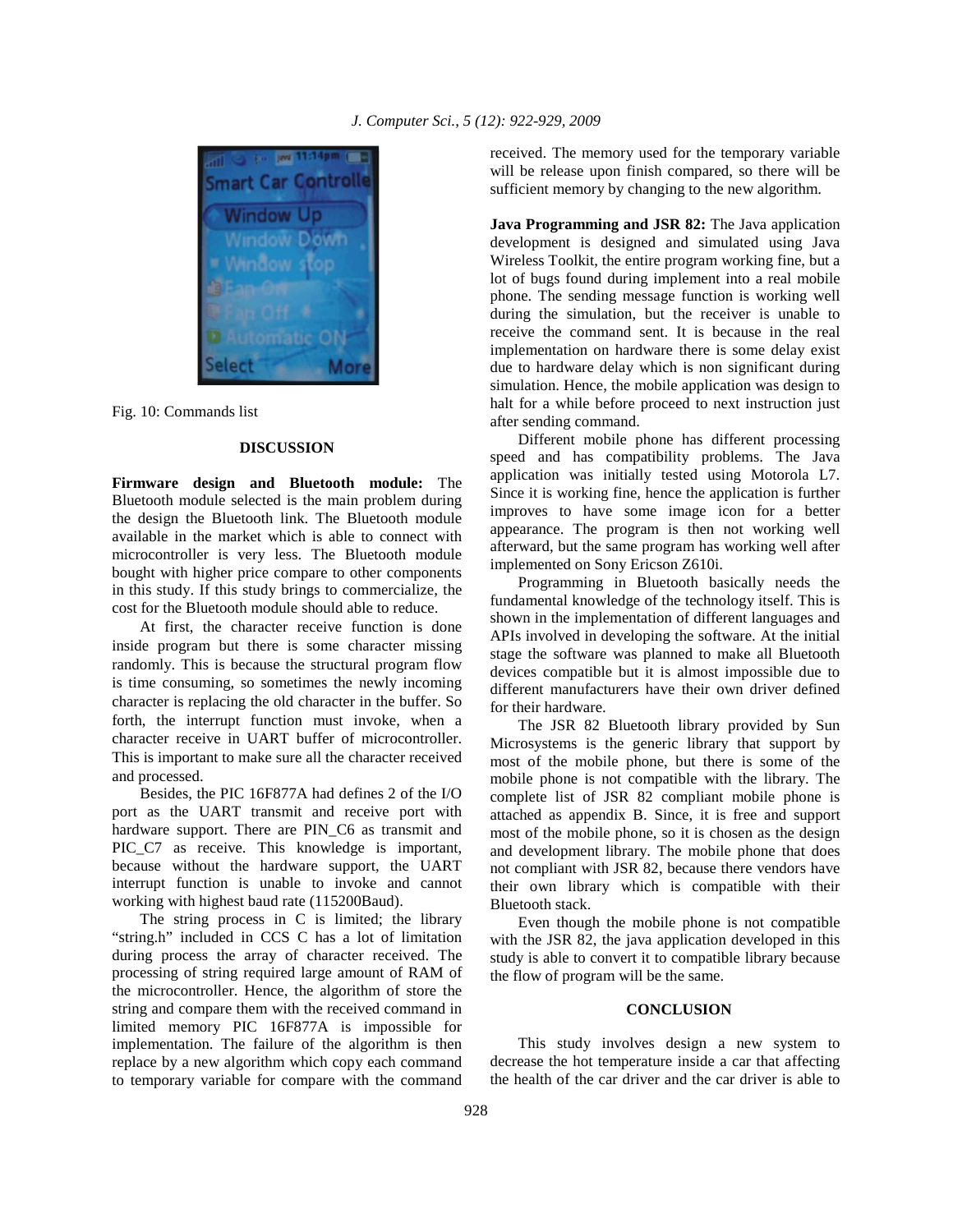

Fig. 10: Commands list

## **DISCUSSION**

**Firmware design and Bluetooth module:** The Bluetooth module selected is the main problem during the design the Bluetooth link. The Bluetooth module available in the market which is able to connect with microcontroller is very less. The Bluetooth module bought with higher price compare to other components in this study. If this study brings to commercialize, the cost for the Bluetooth module should able to reduce.

 At first, the character receive function is done inside program but there is some character missing randomly. This is because the structural program flow is time consuming, so sometimes the newly incoming character is replacing the old character in the buffer. So forth, the interrupt function must invoke, when a character receive in UART buffer of microcontroller. This is important to make sure all the character received and processed.

 Besides, the PIC 16F877A had defines 2 of the I/O port as the UART transmit and receive port with hardware support. There are PIN\_C6 as transmit and PIC\_C7 as receive. This knowledge is important, because without the hardware support, the UART interrupt function is unable to invoke and cannot working with highest baud rate (115200Baud).

 The string process in C is limited; the library "string.h" included in CCS C has a lot of limitation during process the array of character received. The processing of string required large amount of RAM of the microcontroller. Hence, the algorithm of store the string and compare them with the received command in limited memory PIC 16F877A is impossible for implementation. The failure of the algorithm is then replace by a new algorithm which copy each command to temporary variable for compare with the command

received. The memory used for the temporary variable will be release upon finish compared, so there will be sufficient memory by changing to the new algorithm.

**Java Programming and JSR 82:** The Java application development is designed and simulated using Java Wireless Toolkit, the entire program working fine, but a lot of bugs found during implement into a real mobile phone. The sending message function is working well during the simulation, but the receiver is unable to receive the command sent. It is because in the real implementation on hardware there is some delay exist due to hardware delay which is non significant during simulation. Hence, the mobile application was design to halt for a while before proceed to next instruction just after sending command.

 Different mobile phone has different processing speed and has compatibility problems. The Java application was initially tested using Motorola L7. Since it is working fine, hence the application is further improves to have some image icon for a better appearance. The program is then not working well afterward, but the same program has working well after implemented on Sony Ericson Z610i.

 Programming in Bluetooth basically needs the fundamental knowledge of the technology itself. This is shown in the implementation of different languages and APIs involved in developing the software. At the initial stage the software was planned to make all Bluetooth devices compatible but it is almost impossible due to different manufacturers have their own driver defined for their hardware.

 The JSR 82 Bluetooth library provided by Sun Microsystems is the generic library that support by most of the mobile phone, but there is some of the mobile phone is not compatible with the library. The complete list of JSR 82 compliant mobile phone is attached as appendix B. Since, it is free and support most of the mobile phone, so it is chosen as the design and development library. The mobile phone that does not compliant with JSR 82, because there vendors have their own library which is compatible with their Bluetooth stack.

 Even though the mobile phone is not compatible with the JSR 82, the java application developed in this study is able to convert it to compatible library because the flow of program will be the same.

#### **CONCLUSION**

 This study involves design a new system to decrease the hot temperature inside a car that affecting the health of the car driver and the car driver is able to